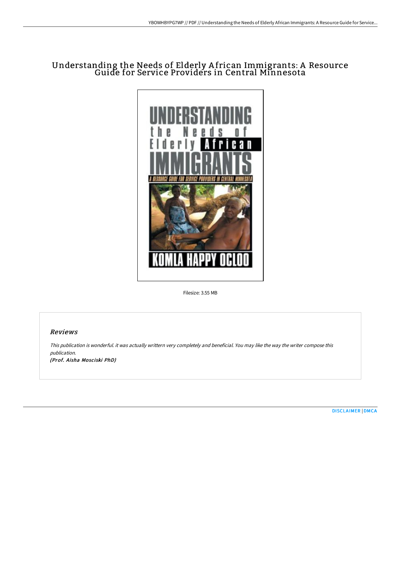## Understanding the Needs of Elderly A frican Immigrants: A Resource Guide for Service Providers in Central Minnesota



Filesize: 3.55 MB

## Reviews

This publication is wonderful. it was actually writtern very completely and beneficial. You may like the way the writer compose this publication. (Prof. Aisha Mosciski PhD)

[DISCLAIMER](http://albedo.media/disclaimer.html) | [DMCA](http://albedo.media/dmca.html)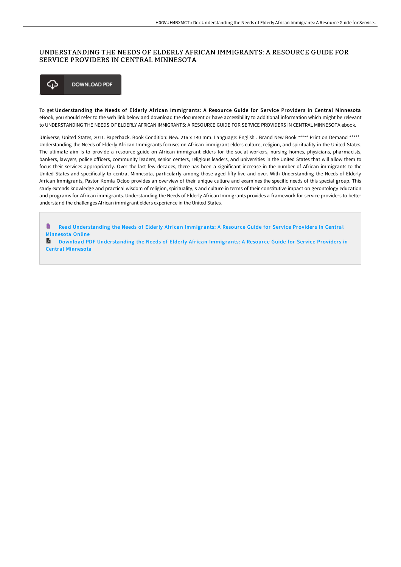## UNDERSTANDING THE NEEDS OF ELDERLY AFRICAN IMMIGRANTS: A RESOURCE GUIDE FOR SERVICE PROVIDERS IN CENTRAL MINNESOTA



To get Understanding the Needs of Elderly African Immigrants: A Resource Guide for Service Providers in Central Minnesota eBook, you should refer to the web link below and download the document or have accessibility to additional information which might be relevant to UNDERSTANDING THE NEEDS OF ELDERLY AFRICAN IMMIGRANTS: A RESOURCE GUIDE FOR SERVICE PROVIDERS IN CENTRAL MINNESOTA ebook.

iUniverse, United States, 2011. Paperback. Book Condition: New. 216 x 140 mm. Language: English . Brand New Book \*\*\*\*\* Print on Demand \*\*\*\*\*. Understanding the Needs of Elderly African Immigrants focuses on African immigrant elders culture, religion, and spirituality in the United States. The ultimate aim is to provide a resource guide on African immigrant elders for the social workers, nursing homes, physicians, pharmacists, bankers, lawyers, police officers, community leaders, senior centers, religious leaders, and universities in the United States that will allow them to focus their services appropriately. Over the last few decades, there has been a significant increase in the number of African immigrants to the United States and specifically to central Minnesota, particularly among those aged fifty-five and over. With Understanding the Needs of Elderly African Immigrants, Pastor Komla Ocloo provides an overview of their unique culture and examines the specific needs of this special group. This study extends knowledge and practical wisdom of religion, spirituality, s and culture in terms of their constitutive impact on gerontology education and programs for African immigrants. Understanding the Needs of Elderly African Immigrants provides a framework for service providers to better understand the challenges African immigrant elders experience in the United States.

- $\blacksquare$ Read Understanding the Needs of Elderly African [Immigrants:](http://albedo.media/understanding-the-needs-of-elderly-african-immig.html) A Resource Guide for Service Providers in Central Minnesota Online
- **D** Download PDF Understanding the Needs of Elderly African [Immigrants:](http://albedo.media/understanding-the-needs-of-elderly-african-immig.html) A Resource Guide for Service Providers in Central Minnesota